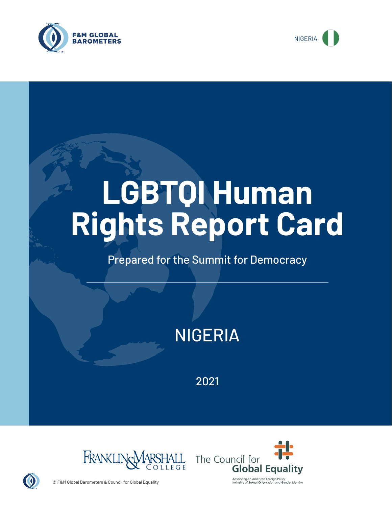



# **LGBTQI Human Rights Report Card**

## Prepared for the Summit for Democracy

# NIGERIA

2021





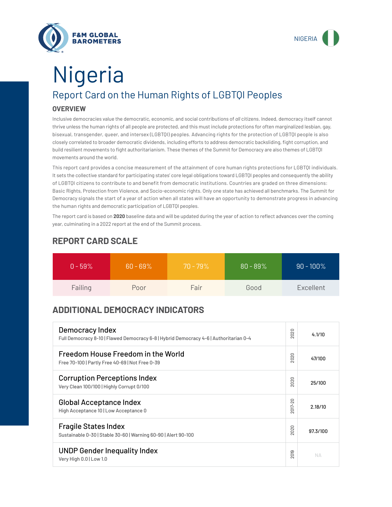



# Report Card on the Human Rights of LGBTQI Peoples **OVERVIEW** Nigeria

Inclusive democracies value the democratic, economic, and social contributions of *all* citizens. Indeed, democracy itself cannot thrive unless the human rights of all people are protected, and this must include protections for often marginalized lesbian, gay, bisexual, transgender, queer, and intersex (LGBTQI) peoples. Advancing rights for the protection of LGBTQI people is also closely correlated to broader democratic dividends, including efforts to address democratic backsliding, fight corruption, and build resilient movements to fight authoritarianism. These themes of the Summit for Democracy are also themes of LGBTQI movements around the world.

This report card provides a concise measurement of the attainment of core human rights protections for LGBTQI individuals. It sets the collective standard for participating states' core legal obligations toward LGBTQI peoples and consequently the ability of LGBTQI citizens to contribute to and benefit from democratic institutions. Countries are graded on three dimensions: Basic Rights, Protection from Violence, and Socio-economic rights. Only one state has achieved all benchmarks. The Summit for Democracy signals the start of a year of action when all states will have an opportunity to demonstrate progress in advancing the human rights and democratic participation of LGBTQI peoples.

The report card is based on **2020** baseline data and will be updated during the year of action to reflect advances over the coming year, culminating in a 2022 report at the end of the Summit process.

| $0 - 59\%$ | $60 - 69\%$ | $70 - 79\%$ | $80 - 89\%$ | $90 - 100\%$ |
|------------|-------------|-------------|-------------|--------------|
| Failing    | Poor        | Fair        | Good        | Excellent    |

### **REPORT CARD SCALE**

## **ADDITIONAL DEMOCRACY INDICATORS**

| Democracy Index<br>Full Democracy 8-10   Flawed Democracy 6-8   Hybrid Democracy 4-6   Authoritarian 0-4 | 2020                | 4.1/10   |
|----------------------------------------------------------------------------------------------------------|---------------------|----------|
| Freedom House Freedom in the World<br>Free 70-100   Partly Free 40-69   Not Free 0-39                    | 2020                | 47/100   |
| <b>Corruption Perceptions Index</b><br>Very Clean 100/100   Highly Corrupt 0/100                         | 020<br>$\bar{\sim}$ | 25/100   |
| <b>Global Acceptance Index</b><br>High Acceptance 10   Low Acceptance 0                                  | $\circ$<br>2017-20  | 2.18/10  |
| <b>Fragile States Index</b><br>Sustainable 0-30   Stable 30-60   Warning 60-90   Alert 90-100            | 2020                | 97.3/100 |
| <b>UNDP Gender Inequality Index</b><br>Very High 0.0   Low 1.0                                           | တ<br>$\overline{2}$ | NД       |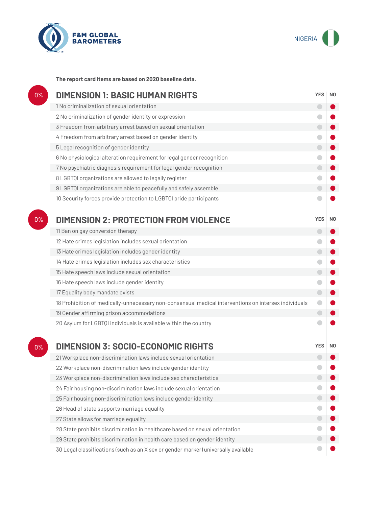



**The report card items are based on 2020 baseline data.**

| 0%    | <b>DIMENSION 1: BASIC HUMAN RIGHTS</b>                                                               | <b>YES</b> | N <sub>0</sub> |
|-------|------------------------------------------------------------------------------------------------------|------------|----------------|
|       | 1 No criminalization of sexual orientation                                                           | $\bigcirc$ |                |
|       | 2 No criminalization of gender identity or expression                                                | $\bullet$  |                |
|       | 3 Freedom from arbitrary arrest based on sexual orientation                                          | $\bigcirc$ |                |
|       | 4 Freedom from arbitrary arrest based on gender identity                                             |            |                |
|       | 5 Legal recognition of gender identity                                                               | $\bigcirc$ |                |
|       | 6 No physiological alteration requirement for legal gender recognition                               | $\bullet$  |                |
|       | 7 No psychiatric diagnosis requirement for legal gender recognition                                  | $\bigcirc$ |                |
|       | 8 LGBTQI organizations are allowed to legally register                                               | $\bullet$  |                |
|       | 9 LGBTQI organizations are able to peacefully and safely assemble                                    | $\bigcirc$ |                |
|       | 10 Security forces provide protection to LGBTQI pride participants                                   |            |                |
| $0\%$ | <b>DIMENSION 2: PROTECTION FROM VIOLENCE</b>                                                         | <b>YES</b> | N <sub>0</sub> |
|       | 11 Ban on gay conversion therapy                                                                     | $\bigcirc$ |                |
|       | 12 Hate crimes legislation includes sexual orientation                                               | ۰          |                |
|       | 13 Hate crimes legislation includes gender identity                                                  | $\bigcirc$ |                |
|       | 14 Hate crimes legislation includes sex characteristics                                              | $\bullet$  |                |
|       | 15 Hate speech laws include sexual orientation                                                       | $\bullet$  |                |
|       | 16 Hate speech laws include gender identity                                                          | $\bigcirc$ |                |
|       | 17 Equality body mandate exists                                                                      | $\bigcirc$ |                |
|       | 18 Prohibition of medically-unnecessary non-consensual medical interventions on intersex individuals | $\bullet$  |                |
|       | 19 Gender affirming prison accommodations                                                            | $\bigodot$ |                |
|       | 20 Asylum for LGBTQI individuals is available within the country                                     |            |                |
| 0%    | <b>DIMENSION 3: SOCIO-ECONOMIC RIGHTS</b>                                                            | <b>YES</b> | N <sub>0</sub> |
|       | 21 Workplace non-discrimination laws include sexual orientation                                      |            |                |
|       | 22 Workplace non-discrimination laws include gender identity                                         |            |                |
|       | 23 Workplace non-discrimination laws include sex characteristics                                     |            |                |
|       | 24 Fair housing non-discrimination laws include sexual orientation                                   |            |                |
|       | 25 Fair housing non-discrimination laws include gender identity                                      | $\Box$     |                |
|       | 26 Head of state supports marriage equality                                                          |            |                |
|       | 27 State allows for marriage equality                                                                | $\bigcirc$ |                |
|       | 28 State prohibits discrimination in healthcare based on sexual orientation                          |            |                |
|       | 29 State prohibits discrimination in health care based on gender identity                            |            |                |
|       |                                                                                                      |            |                |